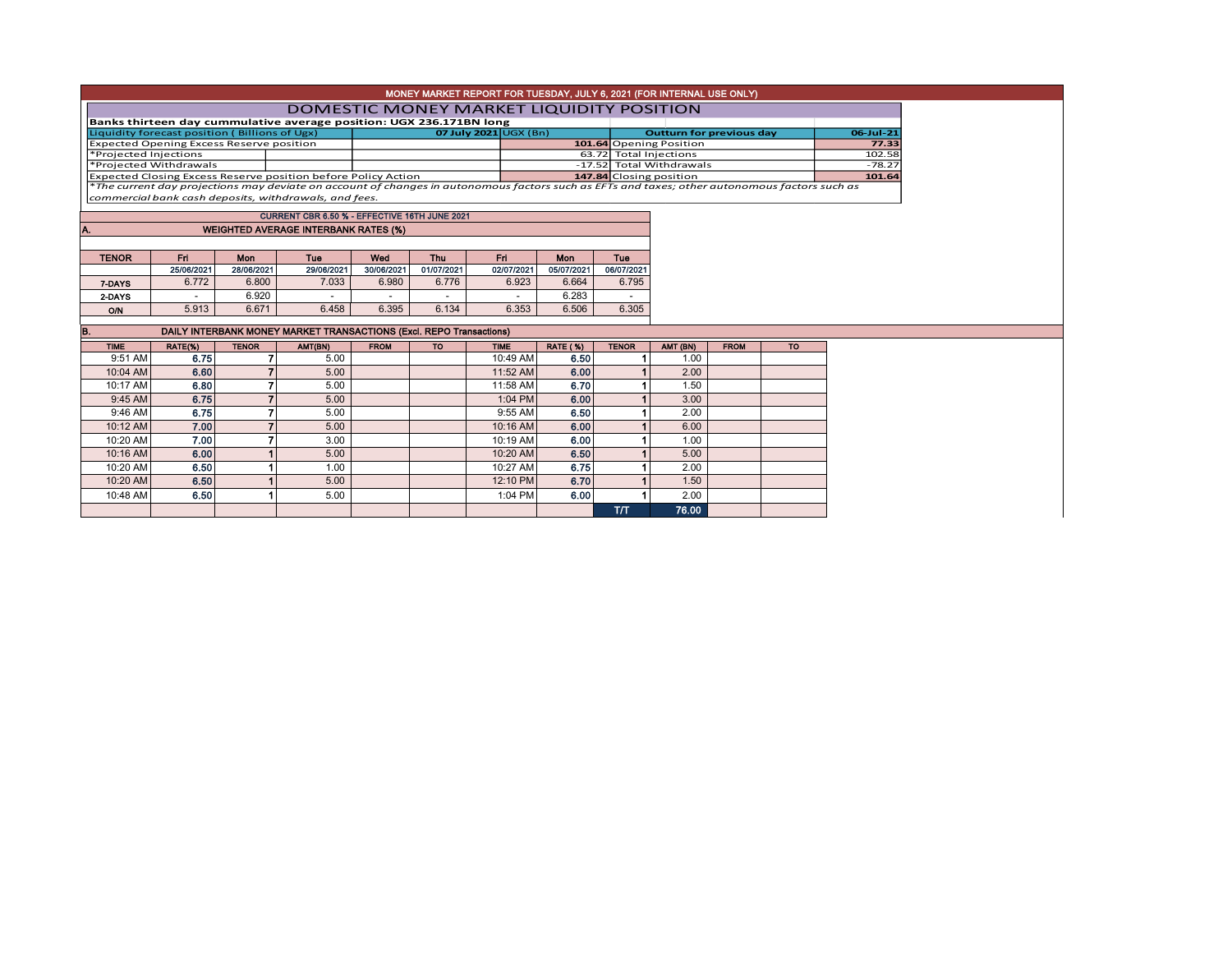| MONEY MARKET REPORT FOR TUESDAY, JULY 6, 2021 (FOR INTERNAL USE ONLY)                   |                                          |              |                                                                            |                                                                                                                                                                          |                                 |                         |                                                    |                 |          |             |                    |  |  |  |
|-----------------------------------------------------------------------------------------|------------------------------------------|--------------|----------------------------------------------------------------------------|--------------------------------------------------------------------------------------------------------------------------------------------------------------------------|---------------------------------|-------------------------|----------------------------------------------------|-----------------|----------|-------------|--------------------|--|--|--|
|                                                                                         | DOMESTIC MONEY MARKET LIQUIDITY POSITION |              |                                                                            |                                                                                                                                                                          |                                 |                         |                                                    |                 |          |             |                    |  |  |  |
| Banks thirteen day cummulative average position: UGX 236.171BN long                     |                                          |              |                                                                            |                                                                                                                                                                          |                                 |                         |                                                    |                 |          |             |                    |  |  |  |
| Liquidity forecast position (Billions of Ugx)                                           |                                          |              | 07 July 2021 $\cup$ GX (Bn)                                                |                                                                                                                                                                          | <b>Outturn for previous day</b> |                         |                                                    | 06-Jul-21       |          |             |                    |  |  |  |
| <b>Expected Opening Excess Reserve position</b>                                         |                                          |              |                                                                            |                                                                                                                                                                          |                                 | 101.64 Opening Position |                                                    | 77.33<br>102.58 |          |             |                    |  |  |  |
| *Projected Injections                                                                   |                                          |              |                                                                            |                                                                                                                                                                          |                                 |                         | 63.72 Total Injections<br>-17.52 Total Withdrawals |                 |          |             |                    |  |  |  |
| *Projected Withdrawals<br>Expected Closing Excess Reserve position before Policy Action |                                          |              |                                                                            |                                                                                                                                                                          |                                 |                         |                                                    |                 |          |             | $-78.27$<br>101.64 |  |  |  |
|                                                                                         |                                          |              |                                                                            | 147.84 Closing position<br>*The current day projections may deviate on account of changes in autonomous factors such as EFTs and taxes; other autonomous factors such as |                                 |                         |                                                    |                 |          |             |                    |  |  |  |
| commercial bank cash deposits, withdrawals, and fees.                                   |                                          |              |                                                                            |                                                                                                                                                                          |                                 |                         |                                                    |                 |          |             |                    |  |  |  |
|                                                                                         |                                          |              |                                                                            |                                                                                                                                                                          |                                 |                         |                                                    |                 |          |             |                    |  |  |  |
| CURRENT CBR 6.50 % - EFFECTIVE 16TH JUNE 2021                                           |                                          |              |                                                                            |                                                                                                                                                                          |                                 |                         |                                                    |                 |          |             |                    |  |  |  |
| <b>WEIGHTED AVERAGE INTERBANK RATES (%)</b><br>A.                                       |                                          |              |                                                                            |                                                                                                                                                                          |                                 |                         |                                                    |                 |          |             |                    |  |  |  |
|                                                                                         |                                          |              |                                                                            |                                                                                                                                                                          |                                 |                         |                                                    |                 |          |             |                    |  |  |  |
| <b>TENOR</b>                                                                            | Fri                                      | Mon          | Tue                                                                        | Wed                                                                                                                                                                      | <b>Thu</b>                      | Fri.                    | <b>Mon</b>                                         | <b>Tue</b>      |          |             |                    |  |  |  |
|                                                                                         | 25/06/2021                               | 28/06/2021   | 29/06/2021                                                                 | 30/06/2021                                                                                                                                                               | 01/07/2021                      | 02/07/2021              | 05/07/2021                                         | 06/07/2021      |          |             |                    |  |  |  |
| 7-DAYS                                                                                  | 6.772                                    | 6.800        | 7.033                                                                      | 6.980                                                                                                                                                                    | 6.776                           | 6.923                   | 6.664                                              | 6.795           |          |             |                    |  |  |  |
| 2-DAYS                                                                                  | $\sim$                                   | 6.920        |                                                                            | $\sim$                                                                                                                                                                   |                                 |                         | 6.283                                              |                 |          |             |                    |  |  |  |
| O/N                                                                                     | 5.913                                    | 6.671        | 6.458                                                                      | 6.395                                                                                                                                                                    | 6.134                           | 6.353                   | 6.506                                              | 6.305           |          |             |                    |  |  |  |
|                                                                                         |                                          |              |                                                                            |                                                                                                                                                                          |                                 |                         |                                                    |                 |          |             |                    |  |  |  |
| B.                                                                                      |                                          |              | <b>DAILY INTERBANK MONEY MARKET TRANSACTIONS (Excl. REPO Transactions)</b> |                                                                                                                                                                          |                                 |                         |                                                    |                 |          |             |                    |  |  |  |
| <b>TIME</b>                                                                             | RATE(%)                                  | <b>TENOR</b> | AMT(BN)                                                                    | <b>FROM</b>                                                                                                                                                              | <b>TO</b>                       | <b>TIME</b>             | <b>RATE (%)</b>                                    | <b>TENOR</b>    | AMT (BN) | <b>FROM</b> | <b>TO</b>          |  |  |  |
| 9:51 AM                                                                                 | 6.75                                     |              | 5.00                                                                       |                                                                                                                                                                          |                                 | 10:49 AM                | 6.50                                               |                 | 1.00     |             |                    |  |  |  |
| 10:04 AM                                                                                | 6.60                                     |              | 5.00                                                                       |                                                                                                                                                                          |                                 | 11:52 AM                | 6.00                                               |                 | 2.00     |             |                    |  |  |  |
| 10:17 AM                                                                                | 6.80                                     | 7            | 5.00                                                                       |                                                                                                                                                                          |                                 | 11:58 AM                | 6.70                                               |                 | 1.50     |             |                    |  |  |  |
| 9:45 AM                                                                                 | 6.75                                     |              | 5.00                                                                       |                                                                                                                                                                          |                                 | 1:04 PM                 | 6.00                                               |                 | 3.00     |             |                    |  |  |  |
| 9:46 AM                                                                                 | 6.75                                     | 7            | 5.00                                                                       |                                                                                                                                                                          |                                 | 9:55 AM                 | 6.50                                               |                 | 2.00     |             |                    |  |  |  |
| 10:12 AM                                                                                | 7.00                                     |              | 5.00                                                                       |                                                                                                                                                                          |                                 | 10:16 AM                | 6.00                                               |                 | 6.00     |             |                    |  |  |  |
| 10:20 AM                                                                                | 7.00                                     |              | 3.00                                                                       |                                                                                                                                                                          |                                 | 10:19 AM                | 6.00                                               |                 | 1.00     |             |                    |  |  |  |
| 10:16 AM                                                                                | 6.00                                     |              | 5.00                                                                       |                                                                                                                                                                          |                                 | 10:20 AM                | 6.50                                               |                 | 5.00     |             |                    |  |  |  |
| 10:20 AM                                                                                | 6.50                                     |              | 1.00                                                                       |                                                                                                                                                                          |                                 | 10:27 AM                | 6.75                                               |                 | 2.00     |             |                    |  |  |  |
| 10:20 AM                                                                                | 6.50                                     |              | 5.00                                                                       |                                                                                                                                                                          |                                 | 12:10 PM                | 6.70                                               |                 | 1.50     |             |                    |  |  |  |
| 10:48 AM                                                                                | 6.50                                     |              | 5.00                                                                       |                                                                                                                                                                          |                                 | 1:04 PM                 | 6.00                                               |                 | 2.00     |             |                    |  |  |  |
|                                                                                         |                                          |              |                                                                            |                                                                                                                                                                          |                                 |                         |                                                    | T/T             | 76.00    |             |                    |  |  |  |
|                                                                                         |                                          |              |                                                                            |                                                                                                                                                                          |                                 |                         |                                                    |                 |          |             |                    |  |  |  |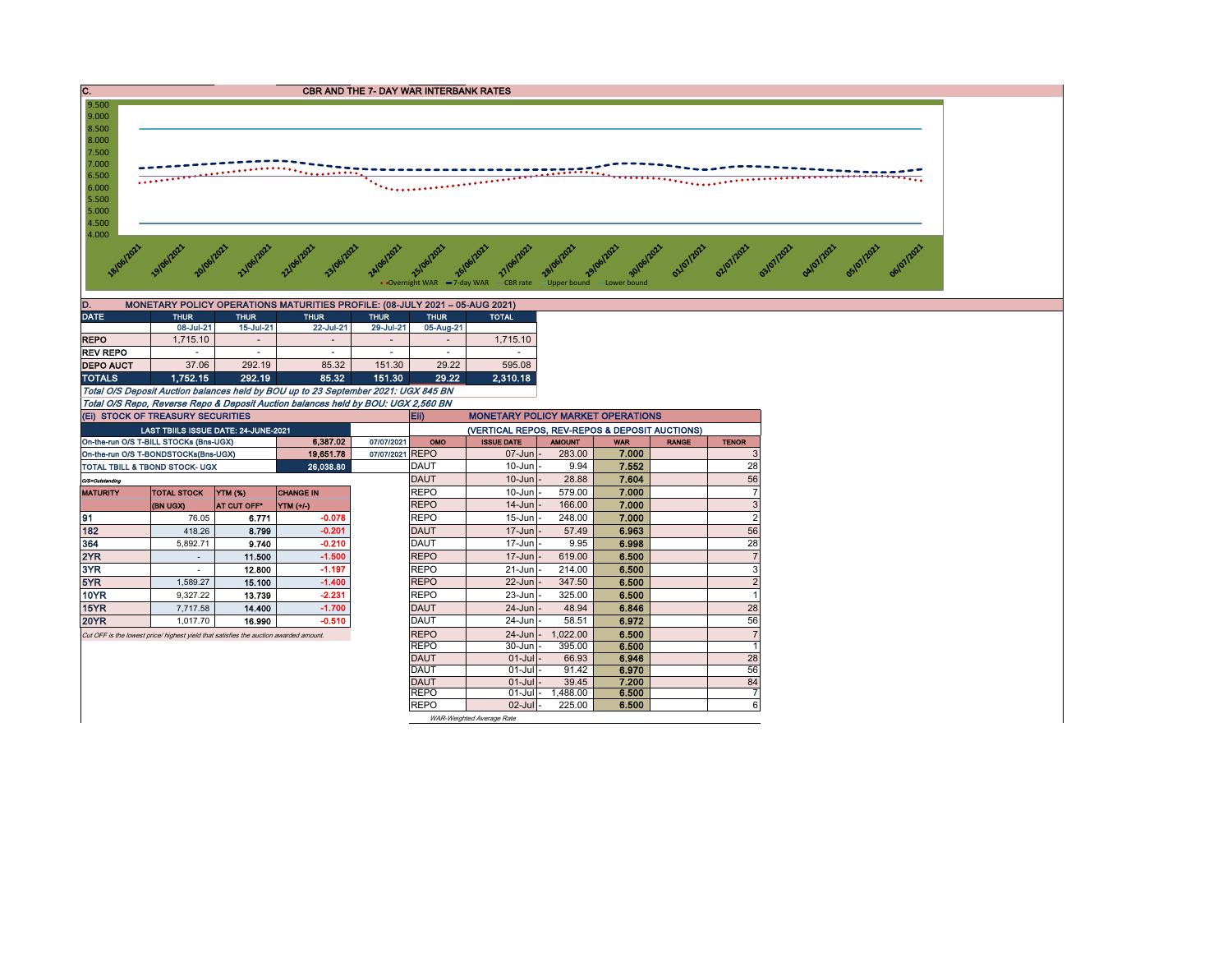



when the property average to the property of the property of the security was a filed that the upper bound average average average average average average average average average average average average average average ave

| D.<br>MONETARY POLICY OPERATIONS MATURITIES PROFILE: (08-JULY 2021 - 05-AUG 2021) |                          |             |             |             |              |  |  |  |  |  |  |  |  |
|-----------------------------------------------------------------------------------|--------------------------|-------------|-------------|-------------|--------------|--|--|--|--|--|--|--|--|
| <b>THUR</b>                                                                       | <b>THUR</b>              | <b>THUR</b> | <b>THUR</b> | <b>THUR</b> | <b>TOTAL</b> |  |  |  |  |  |  |  |  |
| 08-Jul-21                                                                         | 15-Jul-21                | 22-Jul-21   | 29-Jul-21   | 05-Aug-21   |              |  |  |  |  |  |  |  |  |
| 1.715.10                                                                          | $\overline{\phantom{a}}$ |             | $\,$        |             | 1.715.10     |  |  |  |  |  |  |  |  |
| $\overline{\phantom{a}}$                                                          |                          |             |             |             |              |  |  |  |  |  |  |  |  |
| 37.06                                                                             | 292.19                   | 85.32       | 151.30      | 29.22       | 595.08       |  |  |  |  |  |  |  |  |
| 1.752.15                                                                          | 292.19                   | 85.32       | 151.30      | 29.22       | 2.310.18     |  |  |  |  |  |  |  |  |
|                                                                                   |                          |             |             |             |              |  |  |  |  |  |  |  |  |

Total O/S Deposit Auction balances held by BOU up to 23 September 2021: UGX 845 BN Total O/S Repo, Reverse Repo & Deposit Auction balances held by BOU: UGX 2,560 BN

4.000

9.500

| (EI) STOCK OF TREASURY SECURITIES                |                                                                                       |             |                  |                 |                                                | Eii)<br><b>MONETARY POLICY MARKET OPERATIONS</b> |                |            |              |                |  |  |  |  |
|--------------------------------------------------|---------------------------------------------------------------------------------------|-------------|------------------|-----------------|------------------------------------------------|--------------------------------------------------|----------------|------------|--------------|----------------|--|--|--|--|
|                                                  | LAST TBIILS ISSUE DATE: 24-JUNE-2021                                                  |             |                  |                 | (VERTICAL REPOS, REV-REPOS & DEPOSIT AUCTIONS) |                                                  |                |            |              |                |  |  |  |  |
|                                                  | On-the-run O/S T-BILL STOCKs (Bns-UGX)                                                |             | 6.387.02         | 07/07/2021      | OMO                                            | <b>ISSUE DATE</b>                                | <b>AMOUNT</b>  | <b>WAR</b> | <b>RANGE</b> | <b>TENOR</b>   |  |  |  |  |
|                                                  | On-the-run O/S T-BONDSTOCKs(Bns-UGX)                                                  |             | 19,651.78        | 07/07/2021 REPO |                                                | $07 - Jun$                                       | 283.00         | 7.000      |              | 3              |  |  |  |  |
|                                                  | <b>TOTAL TBILL &amp; TBOND STOCK- UGX</b>                                             |             |                  | DAUT            | $10$ -Jun $\vert$ -                            | 9.94                                             | 7.552          |            | 28           |                |  |  |  |  |
| O/S=Outstanding                                  |                                                                                       |             |                  | DAUT            | $10$ -Jun $-$                                  | 28.88                                            | 7.604          |            | 56           |                |  |  |  |  |
| YTM (%)<br><b>MATURITY</b><br><b>TOTAL STOCK</b> |                                                                                       |             | <b>CHANGE IN</b> |                 | <b>REPO</b>                                    | $10 - Jun$                                       | 579.00         | 7.000      |              | $\overline{7}$ |  |  |  |  |
|                                                  | <b>(BN UGX)</b>                                                                       | AT CUT OFF* | <b>YTM (+/-)</b> |                 | <b>REPO</b>                                    | $14$ -Jun $-$                                    | 166.00         | 7.000      |              | 3              |  |  |  |  |
| 91                                               | 76.05                                                                                 | 6.771       | $-0.078$         |                 | <b>REPO</b>                                    | $15 - Jun$                                       | 248.00         | 7.000      |              | $\overline{2}$ |  |  |  |  |
| 182                                              | 418.26                                                                                | 8.799       | $-0.201$         |                 | <b>DAUT</b>                                    | $17$ -Jun $-$                                    | 57.49          | 6.963      |              | 56             |  |  |  |  |
| 364                                              | 5.892.71                                                                              | 9.740       | $-0.210$         |                 | <b>DAUT</b>                                    | $17$ -Jun $-$                                    | 9.95           | 6.998      |              | 28             |  |  |  |  |
| 2YR                                              |                                                                                       | 11.500      | $-1.500$         |                 | <b>REPO</b>                                    | $17$ -Jun $\vert$ -                              | 619.00         | 6.500      |              | $\overline{7}$ |  |  |  |  |
| 3YR                                              |                                                                                       | 12.800      | $-1.197$         |                 | <b>REPO</b>                                    | $21 - Jun$                                       | 214.00         | 6.500      |              | 3              |  |  |  |  |
| 5YR                                              | 1.589.27                                                                              | 15.100      | $-1.400$         |                 | <b>REPO</b>                                    | $22$ -Jun                                        | 347.50         | 6.500      |              | $\overline{2}$ |  |  |  |  |
| <b>10YR</b>                                      | 9.327.22                                                                              | 13.739      | $-2.231$         |                 | <b>REPO</b>                                    | $23 - Jun$                                       | 325.00         | 6.500      |              | 1              |  |  |  |  |
| 15YR                                             | 7,717.58                                                                              | 14.400      | $-1.700$         |                 | DAUT                                           | $24$ -Jun $-$                                    | 48.94          | 6.846      |              | 28             |  |  |  |  |
| <b>20YR</b>                                      | 1.017.70                                                                              | 16.990      | $-0.510$         |                 | DAUT                                           | 24-Jun                                           | 58.51          | 6.972      |              | 56             |  |  |  |  |
|                                                  | Cut OFF is the lowest price/ highest yield that satisfies the auction awarded amount. | <b>REPO</b> | $24 - Jun$       | 1,022.00        | 6.500                                          |                                                  | $\overline{7}$ |            |              |                |  |  |  |  |
|                                                  |                                                                                       |             |                  |                 | <b>REPO</b>                                    | 30-Jun                                           | 395.00         | 6.500      |              | $\overline{1}$ |  |  |  |  |
|                                                  |                                                                                       |             |                  |                 | <b>DAUT</b>                                    | $01$ -Jull-                                      | 66.93          | 6.946      |              | 28             |  |  |  |  |
|                                                  |                                                                                       |             |                  |                 | <b>DAUT</b>                                    | $01$ -Jull-                                      | 91.42          | 6.970      |              | 56             |  |  |  |  |
|                                                  |                                                                                       |             |                  |                 | DAUT                                           | $01$ -Jull-                                      | 39.45          | 7.200      |              | 84             |  |  |  |  |
|                                                  |                                                                                       |             |                  |                 | <b>REPO</b>                                    | $01$ -Jull-                                      | 1,488.00       | 6.500      |              | 7              |  |  |  |  |
|                                                  |                                                                                       |             |                  |                 | <b>REPO</b>                                    | $02$ -Jul                                        | 225.00         | 6.500      |              | 6              |  |  |  |  |
|                                                  |                                                                                       |             |                  |                 | WAR-Weighted Average Rate                      |                                                  |                |            |              |                |  |  |  |  |